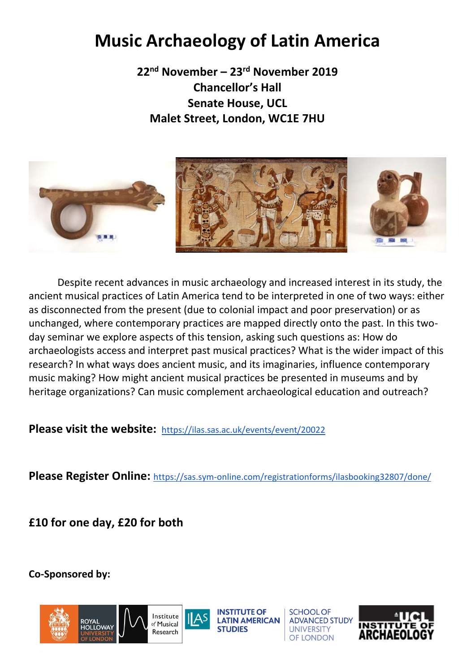# **Music Archaeology of Latin America**

**22nd November – 23rd November 2019 Chancellor's Hall Senate House, UCL Malet Street, London, WC1E 7HU**



Despite recent advances in music archaeology and increased interest in its study, the ancient musical practices of Latin America tend to be interpreted in one of two ways: either as disconnected from the present (due to colonial impact and poor preservation) or as unchanged, where contemporary practices are mapped directly onto the past. In this twoday seminar we explore aspects of this tension, asking such questions as: How do archaeologists access and interpret past musical practices? What is the wider impact of this research? In what ways does ancient music, and its imaginaries, influence contemporary music making? How might ancient musical practices be presented in museums and by heritage organizations? Can music complement archaeological education and outreach?

**Please visit the website:** <https://ilas.sas.ac.uk/events/event/20022>

**Please Register Online:** <https://sas.sym-online.com/registrationforms/ilasbooking32807/done/>

**£10 for one day, £20 for both**

**Co-Sponsored by:** 





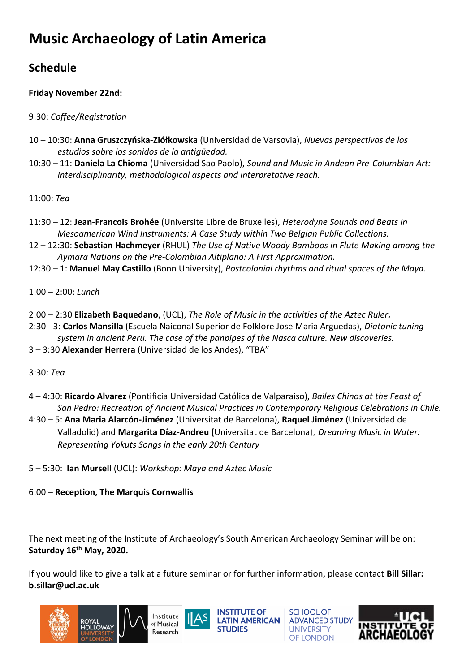# **Music Archaeology of Latin America**

# **Schedule**

# **Friday November 22nd:**

# 9:30: *Coffee/Registration*

- 10 10:30: **Anna Gruszczyńska-Ziółkowska** (Universidad de Varsovia), *Nuevas perspectivas de los estudios sobre los sonidos de la antigüedad.*
- 10:30 11: **Daniela La Chioma** (Universidad Sao Paolo), *Sound and Music in Andean Pre-Columbian Art: Interdisciplinarity, methodological aspects and interpretative reach.*

11:00: *Tea*

- 11:30 12: **Jean-Francois Brohée** (Universite Libre de Bruxelles), *Heterodyne Sounds and Beats in Mesoamerican Wind Instruments: A Case Study within Two Belgian Public Collections.*
- 12 12:30: **Sebastian Hachmeyer** (RHUL) *The Use of Native Woody Bamboos in Flute Making among the Aymara Nations on the Pre-Colombian Altiplano: A First Approximation.*
- 12:30 1: **Manuel May Castillo** (Bonn University), *Postcolonial rhythms and ritual spaces of the Maya.*
- 1:00 2:00: *Lunch*
- 2:00 2:30 **Elizabeth Baquedano**, (UCL), *The Role of Music in the activities of the Aztec Ruler.*
- 2:30 3: **Carlos Mansilla** (Escuela Naiconal Superior de Folklore Jose Maria Arguedas), *Diatonic tuning system in ancient Peru. The case of the panpipes of the Nasca culture. New discoveries.*
- 3 3:30 **Alexander Herrera** (Universidad de los Andes), "TBA"
- 3:30: *Tea*
- 4 4:30: **Ricardo Alvarez** (Pontificia Universidad Católica de Valparaiso), *Bailes Chinos at the Feast of San Pedro: Recreation of Ancient Musical Practices in Contemporary Religious Celebrations in Chile.*
- 4:30 5: **Ana Maria Alarcón-Jiménez** (Universitat de Barcelona), **Raquel Jiménez** (Universidad de Valladolid) and **Margarita Díaz-Andreu (**Universitat de Barcelona), *Dreaming Music in Water: Representing Yokuts Songs in the early 20th Century*
- 5 5:30: **Ian Mursell** (UCL): *Workshop: Maya and Aztec Music*
- 6:00 **Reception, The Marquis Cornwallis**

The next meeting of the Institute of Archaeology's South American Archaeology Seminar will be on: **Saturday 16th May, 2020.**

If you would like to give a talk at a future seminar or for further information, please contact **Bill Sillar: b.sillar@ucl.ac.uk**



**INSTITUTE OF LATIN AMERICAN** 

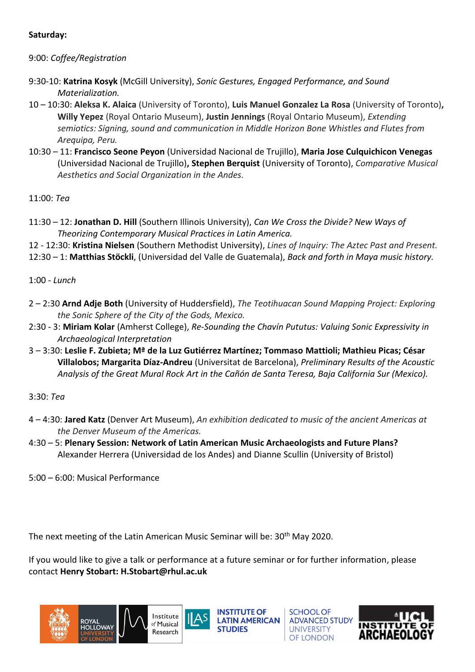#### **Saturday:**

# 9:00: *Coffee/Registration*

- 9:30-10: **Katrina Kosyk** (McGill University), *Sonic Gestures, Engaged Performance, and Sound Materialization.*
- 10 10:30: **Aleksa K. Alaica** (University of Toronto), **Luis Manuel Gonzalez La Rosa** (University of Toronto)**, Willy Yepez** (Royal Ontario Museum), **Justin Jennings** (Royal Ontario Museum), *Extending semiotics: Signing, sound and communication in Middle Horizon Bone Whistles and Flutes from Arequipa, Peru.*
- 10:30 11: **Francisco Seone Peyon** (Universidad Nacional de Trujillo), **Maria Jose Culquichicon Venegas** (Universidad Nacional de Trujillo)**, Stephen Berquist** (University of Toronto), *Comparative Musical Aesthetics and Social Organization in the Andes.*

11:00: *Tea*

- 11:30 12: **Jonathan D. Hill** (Southern Illinois University), *Can We Cross the Divide? New Ways of Theorizing Contemporary Musical Practices in Latin America.*
- 12 12:30: **Kristina Nielsen** (Southern Methodist University), *Lines of Inquiry: The Aztec Past and Present.*
- 12:30 1: **Matthias Stöckli**, (Universidad del Valle de Guatemala), *Back and forth in Maya music history.*

1:00 - *Lunch*

- 2 2:30 **Arnd Adje Both** (University of Huddersfield), *The Teotihuacan Sound Mapping Project: Exploring the Sonic Sphere of the City of the Gods, Mexico.*
- 2:30 3: **Miriam Kolar** (Amherst College), *Re-Sounding the Chavín Pututus: Valuing Sonic Expressivity in Archaeological Interpretation*
- 3 3:30: **Leslie F. Zubieta; Mª de la Luz Gutiérrez Martínez; Tommaso Mattioli; Mathieu Picas; César Villalobos; Margarita Díaz-Andreu** (Universitat de Barcelona), *Preliminary Results of the Acoustic Analysis of the Great Mural Rock Art in the Cañón de Santa Teresa, Baja California Sur (Mexico).*

# 3:30: *Tea*

- 4 4:30: **Jared Katz** (Denver Art Museum), *An exhibition dedicated to music of the ancient Americas at the Denver Museum of the Americas.*
- 4:30 5: **Plenary Session: Network of Latin American Music Archaeologists and Future Plans?** Alexander Herrera (Universidad de los Andes) and Dianne Scullin (University of Bristol)

5:00 – 6:00: Musical Performance

The next meeting of the Latin American Music Seminar will be: 30<sup>th</sup> May 2020.

If you would like to give a talk or performance at a future seminar or for further information, please contact **Henry Stobart: H.Stobart@rhul.ac.uk**





**INSTITUTE OF LATIN AMERICAN** 

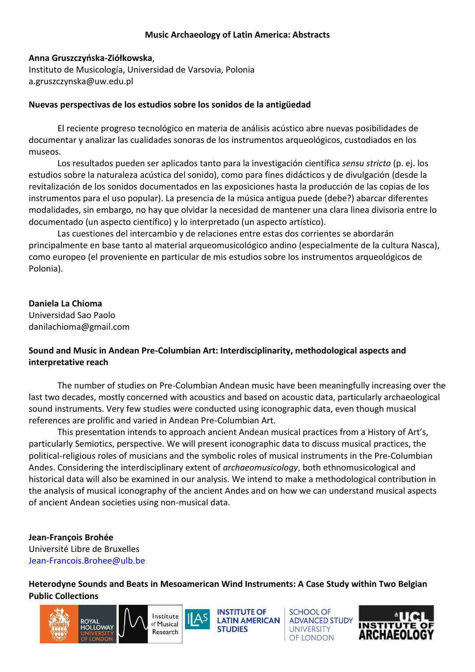#### **Music Archaeology of Latin America: Abstracts**

#### **Anna Gruszczyńska-Ziółkowska**,

Instituto de Musicología, Universidad de Varsovia, Polonia a.gruszczynska@uw.edu.pl

#### **Nuevas perspectivas de los estudios sobre los sonidos de la antigüedad**

El reciente progreso tecnológico en materia de análisis acústico abre nuevas posibilidades de documentar y analizar las cualidades sonoras de los instrumentos arqueológicos, custodiados en los museos.

Los resultados pueden ser aplicados tanto para la investigación científica *sensu stricto* (p. ej. los estudios sobre la naturaleza acústica del sonido), como para fines didácticos y de divulgación (desde la revitalización de los sonidos documentados en las exposiciones hasta la producción de las copias de los instrumentos para el uso popular). La presencia de la música antigua puede (debe?) abarcar diferentes modalidades, sin embargo, no hay que olvidar la necesidad de mantener una clara linea divisoria entre lo documentado (un aspecto científico) y lo interpretado (un aspecto artístico).

Las cuestiones del intercambio y de relaciones entre estas dos corrientes se abordarán principalmente en base tanto al material arqueomusicológico andino (especialmente de la cultura Nasca), como europeo (el proveniente en particular de mis estudios sobre los instrumentos arqueológicos de Polonia).

#### **Daniela La Chioma**

Universidad Sao Paolo danilachioma@gmail.com

#### **Sound and Music in Andean Pre-Columbian Art: Interdisciplinarity, methodological aspects and interpretative reach**

The number of studies on Pre-Columbian Andean music have been meaningfully increasing over the last two decades, mostly concerned with acoustics and based on acoustic data, particularly archaeological sound instruments. Very few studies were conducted using iconographic data, even though musical references are prolific and varied in Andean Pre-Columbian Art.

This presentation intends to approach ancient Andean musical practices from a History of Art's, particularly Semiotics, perspective. We will present iconographic data to discuss musical practices, the political-religious roles of musicians and the symbolic roles of musical instruments in the Pre-Columbian Andes. Considering the interdisciplinary extent of *archaeomusicology*, both ethnomusicological and historical data will also be examined in our analysis. We intend to make a methodological contribution in the analysis of musical iconography of the ancient Andes and on how we can understand musical aspects of ancient Andean societies using non-musical data.

**Jean-François Brohée** Université Libre de Bruxelles Jean-Francois.Brohee@ulb.be

**Heterodyne Sounds and Beats in Mesoamerican Wind Instruments: A Case Study within Two Belgian Public Collections** 



**INSTITUTE OF LATIN AMERICAN STUDIES** 

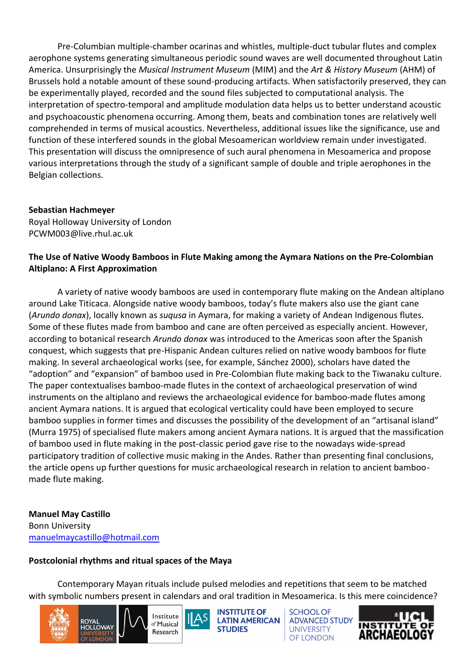Pre-Columbian multiple-chamber ocarinas and whistles, multiple-duct tubular flutes and complex aerophone systems generating simultaneous periodic sound waves are well documented throughout Latin America. Unsurprisingly the *Musical Instrument Museum* (MIM) and the *Art & History Museum* (AHM) of Brussels hold a notable amount of these sound-producing artifacts. When satisfactorily preserved, they can be experimentally played, recorded and the sound files subjected to computational analysis. The interpretation of spectro-temporal and amplitude modulation data helps us to better understand acoustic and psychoacoustic phenomena occurring. Among them, beats and combination tones are relatively well comprehended in terms of musical acoustics. Nevertheless, additional issues like the significance, use and function of these interfered sounds in the global Mesoamerican worldview remain under investigated. This presentation will discuss the omnipresence of such aural phenomena in Mesoamerica and propose various interpretations through the study of a significant sample of double and triple aerophones in the Belgian collections.

#### **Sebastian Hachmeyer**

Royal Holloway University of London PCWM003@live.rhul.ac.uk

# **The Use of Native Woody Bamboos in Flute Making among the Aymara Nations on the Pre-Colombian Altiplano: A First Approximation**

A variety of native woody bamboos are used in contemporary flute making on the Andean altiplano around Lake Titicaca. Alongside native woody bamboos, today's flute makers also use the giant cane (*Arundo donax*), locally known as *suqusa* in Aymara, for making a variety of Andean Indigenous flutes. Some of these flutes made from bamboo and cane are often perceived as especially ancient. However, according to botanical research *Arundo donax* was introduced to the Americas soon after the Spanish conquest, which suggests that pre-Hispanic Andean cultures relied on native woody bamboos for flute making. In several archaeological works (see, for example, Sánchez 2000), scholars have dated the "adoption" and "expansion" of bamboo used in Pre-Colombian flute making back to the Tiwanaku culture. The paper contextualises bamboo-made flutes in the context of archaeological preservation of wind instruments on the altiplano and reviews the archaeological evidence for bamboo-made flutes among ancient Aymara nations. It is argued that ecological verticality could have been employed to secure bamboo supplies in former times and discusses the possibility of the development of an "artisanal island" (Murra 1975) of specialised flute makers among ancient Aymara nations. It is argued that the massification of bamboo used in flute making in the post-classic period gave rise to the nowadays wide-spread participatory tradition of collective music making in the Andes. Rather than presenting final conclusions, the article opens up further questions for music archaeological research in relation to ancient bamboomade flute making.

# **Manuel May Castillo**

Bonn University [manuelmaycastillo@hotmail.com](mailto:manuelmaycastillo@hotmail.com)

# **Postcolonial rhythms and ritual spaces of the Maya**

Contemporary Mayan rituals include pulsed melodies and repetitions that seem to be matched with symbolic numbers present in calendars and oral tradition in Mesoamerica. Is this mere coincidence?



**INSTITUTE OF LATIN AMERICAN STUDIES** 

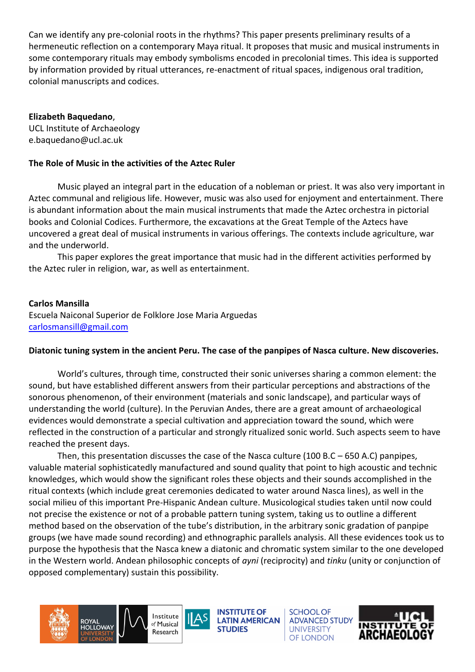Can we identify any pre-colonial roots in the rhythms? This paper presents preliminary results of a hermeneutic reflection on a contemporary Maya ritual. It proposes that music and musical instruments in some contemporary rituals may embody symbolisms encoded in precolonial times. This idea is supported by information provided by ritual utterances, re-enactment of ritual spaces, indigenous oral tradition, colonial manuscripts and codices.

#### **Elizabeth Baquedano**,

UCL Institute of Archaeology e.baquedano@ucl.ac.uk

#### **The Role of Music in the activities of the Aztec Ruler**

Music played an integral part in the education of a nobleman or priest. It was also very important in Aztec communal and religious life. However, music was also used for enjoyment and entertainment. There is abundant information about the main musical instruments that made the Aztec orchestra in pictorial books and Colonial Codices. Furthermore, the excavations at the Great Temple of the Aztecs have uncovered a great deal of musical instruments in various offerings. The contexts include agriculture, war and the underworld.

This paper explores the great importance that music had in the different activities performed by the Aztec ruler in religion, war, as well as entertainment.

#### **Carlos Mansilla**

Escuela Naiconal Superior de Folklore Jose Maria Arguedas [carlosmansill@gmail.com](mailto:carlosmansill@gmail.com)

#### **Diatonic tuning system in the ancient Peru. The case of the panpipes of Nasca culture. New discoveries.**

World's cultures, through time, constructed their sonic universes sharing a common element: the sound, but have established different answers from their particular perceptions and abstractions of the sonorous phenomenon, of their environment (materials and sonic landscape), and particular ways of understanding the world (culture). In the Peruvian Andes, there are a great amount of archaeological evidences would demonstrate a special cultivation and appreciation toward the sound, which were reflected in the construction of a particular and strongly ritualized sonic world. Such aspects seem to have reached the present days.

Then, this presentation discusses the case of the Nasca culture (100 B.C – 650 A.C) panpipes, valuable material sophisticatedly manufactured and sound quality that point to high acoustic and technic knowledges, which would show the significant roles these objects and their sounds accomplished in the ritual contexts (which include great ceremonies dedicated to water around Nasca lines), as well in the social milieu of this important Pre-Hispanic Andean culture. Musicological studies taken until now could not precise the existence or not of a probable pattern tuning system, taking us to outline a different method based on the observation of the tube's distribution, in the arbitrary sonic gradation of panpipe groups (we have made sound recording) and ethnographic parallels analysis. All these evidences took us to purpose the hypothesis that the Nasca knew a diatonic and chromatic system similar to the one developed in the Western world. Andean philosophic concepts of *ayni* (reciprocity) and *tinku* (unity or conjunction of opposed complementary) sustain this possibility.





**INSTITUTE OF LATIN AMERICAN STUDIES** 

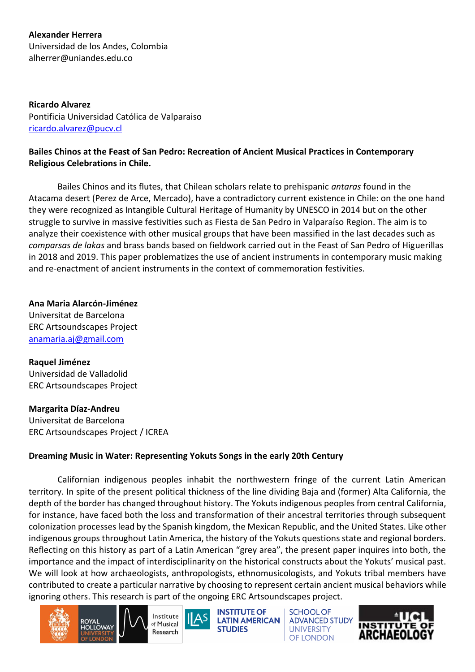**Alexander Herrera** Universidad de los Andes, Colombia alherrer@uniandes.edu.co

**Ricardo Alvarez** Pontificia Universidad Católica de Valparaiso [ricardo.alvarez@pucv.cl](mailto:ricardo.alvarez@pucv.cl)

#### **Bailes Chinos at the Feast of San Pedro: Recreation of Ancient Musical Practices in Contemporary Religious Celebrations in Chile.**

Bailes Chinos and its flutes, that Chilean scholars relate to prehispanic *antaras* found in the Atacama desert (Perez de Arce, Mercado), have a contradictory current existence in Chile: on the one hand they were recognized as Intangible Cultural Heritage of Humanity by UNESCO in 2014 but on the other struggle to survive in massive festivities such as Fiesta de San Pedro in Valparaíso Region. The aim is to analyze their coexistence with other musical groups that have been massified in the last decades such as *comparsas de lakas* and brass bands based on fieldwork carried out in the Feast of San Pedro of Higuerillas in 2018 and 2019. This paper problematizes the use of ancient instruments in contemporary music making and re-enactment of ancient instruments in the context of commemoration festivities.

**Ana Maria Alarcón-Jiménez** Universitat de Barcelona ERC Artsoundscapes Project [anamaria.aj@gmail.com](mailto:anamaria.aj@gmail.com)

**Raquel Jiménez** Universidad de Valladolid ERC Artsoundscapes Project

**Margarita Díaz-Andreu**

Universitat de Barcelona ERC Artsoundscapes Project / ICREA

#### **Dreaming Music in Water: Representing Yokuts Songs in the early 20th Century**

Californian indigenous peoples inhabit the northwestern fringe of the current Latin American territory. In spite of the present political thickness of the line dividing Baja and (former) Alta California, the depth of the border has changed throughout history. The Yokuts indigenous peoples from central California, for instance, have faced both the loss and transformation of their ancestral territories through subsequent colonization processes lead by the Spanish kingdom, the Mexican Republic, and the United States. Like other indigenous groups throughout Latin America, the history of the Yokuts questions state and regional borders. Reflecting on this history as part of a Latin American "grey area", the present paper inquires into both, the importance and the impact of interdisciplinarity on the historical constructs about the Yokuts' musical past. We will look at how archaeologists, anthropologists, ethnomusicologists, and Yokuts tribal members have contributed to create a particular narrative by choosing to represent certain ancient musical behaviors while ignoring others. This research is part of the ongoing ERC Artsoundscapes project.







**INSTITUTE OF LATIN AMERICAN STUDIES** 

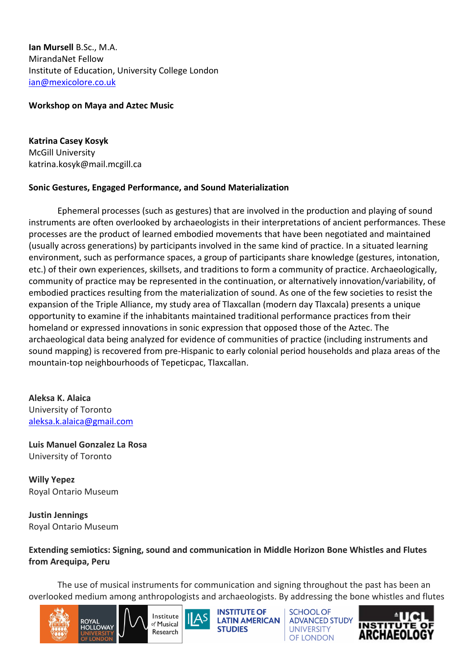**Ian Mursell** B.Sc., M.A. MirandaNet Fellow Institute of Education, University College London [ian@mexicolore.co.uk](mailto:ian@mexicolore.co.uk)

#### **Workshop on Maya and Aztec Music**

**Katrina Casey Kosyk** McGill University katrina.kosyk@mail.mcgill.ca

#### **Sonic Gestures, Engaged Performance, and Sound Materialization**

Ephemeral processes (such as gestures) that are involved in the production and playing of sound instruments are often overlooked by archaeologists in their interpretations of ancient performances. These processes are the product of learned embodied movements that have been negotiated and maintained (usually across generations) by participants involved in the same kind of practice. In a situated learning environment, such as performance spaces, a group of participants share knowledge (gestures, intonation, etc.) of their own experiences, skillsets, and traditions to form a community of practice. Archaeologically, community of practice may be represented in the continuation, or alternatively innovation/variability, of embodied practices resulting from the materialization of sound. As one of the few societies to resist the expansion of the Triple Alliance, my study area of Tlaxcallan (modern day Tlaxcala) presents a unique opportunity to examine if the inhabitants maintained traditional performance practices from their homeland or expressed innovations in sonic expression that opposed those of the Aztec. The archaeological data being analyzed for evidence of communities of practice (including instruments and sound mapping) is recovered from pre-Hispanic to early colonial period households and plaza areas of the mountain-top neighbourhoods of Tepeticpac, Tlaxcallan.

**Aleksa K. Alaica** University of Toronto [aleksa.k.alaica@gmail.com](mailto:aleksa.k.alaica@gmail.com)

**Luis Manuel Gonzalez La Rosa** University of Toronto

**Willy Yepez** Royal Ontario Museum

**Justin Jennings** Royal Ontario Museum

#### **Extending semiotics: Signing, sound and communication in Middle Horizon Bone Whistles and Flutes from Arequipa, Peru**

The use of musical instruments for communication and signing throughout the past has been an overlooked medium among anthropologists and archaeologists. By addressing the bone whistles and flutes



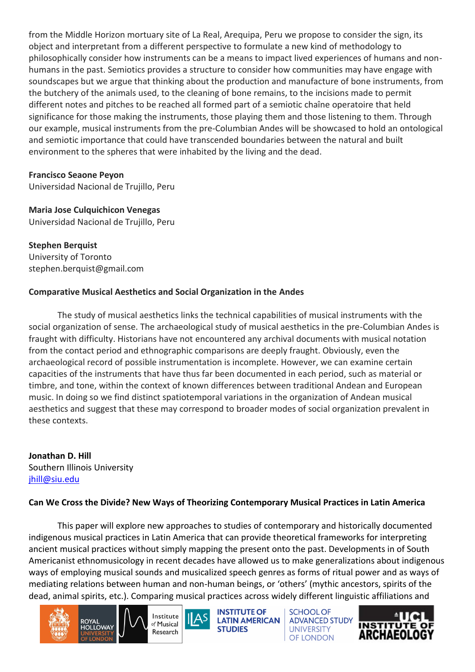from the Middle Horizon mortuary site of La Real, Arequipa, Peru we propose to consider the sign, its object and interpretant from a different perspective to formulate a new kind of methodology to philosophically consider how instruments can be a means to impact lived experiences of humans and nonhumans in the past. Semiotics provides a structure to consider how communities may have engage with soundscapes but we argue that thinking about the production and manufacture of bone instruments, from the butchery of the animals used, to the cleaning of bone remains, to the incisions made to permit different notes and pitches to be reached all formed part of a semiotic chaîne operatoire that held significance for those making the instruments, those playing them and those listening to them. Through our example, musical instruments from the pre-Columbian Andes will be showcased to hold an ontological and semiotic importance that could have transcended boundaries between the natural and built environment to the spheres that were inhabited by the living and the dead.

#### **Francisco Seaone Peyon**

Universidad Nacional de Trujillo, Peru

#### **Maria Jose Culquichicon Venegas**

Universidad Nacional de Trujillo, Peru

#### **Stephen Berquist** University of Toronto stephen.berquist@gmail.com

# **Comparative Musical Aesthetics and Social Organization in the Andes**

The study of musical aesthetics links the technical capabilities of musical instruments with the social organization of sense. The archaeological study of musical aesthetics in the pre-Columbian Andes is fraught with difficulty. Historians have not encountered any archival documents with musical notation from the contact period and ethnographic comparisons are deeply fraught. Obviously, even the archaeological record of possible instrumentation is incomplete. However, we can examine certain capacities of the instruments that have thus far been documented in each period, such as material or timbre, and tone, within the context of known differences between traditional Andean and European music. In doing so we find distinct spatiotemporal variations in the organization of Andean musical aesthetics and suggest that these may correspond to broader modes of social organization prevalent in these contexts.

**Jonathan D. Hill** Southern Illinois University [jhill@siu.edu](mailto:jhill@siu.edu)

# **Can We Cross the Divide? New Ways of Theorizing Contemporary Musical Practices in Latin America**

This paper will explore new approaches to studies of contemporary and historically documented indigenous musical practices in Latin America that can provide theoretical frameworks for interpreting ancient musical practices without simply mapping the present onto the past. Developments in of South Americanist ethnomusicology in recent decades have allowed us to make generalizations about indigenous ways of employing musical sounds and musicalized speech genres as forms of ritual power and as ways of mediating relations between human and non-human beings, or 'others' (mythic ancestors, spirits of the dead, animal spirits, etc.). Comparing musical practices across widely different linguistic affiliations and







**INSTITUTE OF LATIN AMERICAN STUDIES** 

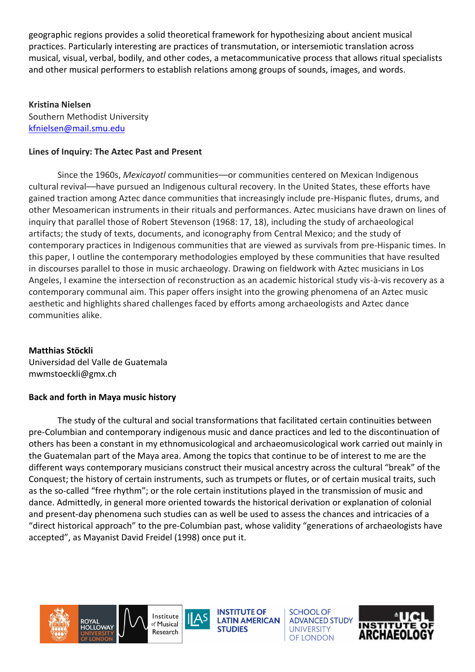geographic regions provides a solid theoretical framework for hypothesizing about ancient musical practices. Particularly interesting are practices of transmutation, or intersemiotic translation across musical, visual, verbal, bodily, and other codes, a metacommunicative process that allows ritual specialists and other musical performers to establish relations among groups of sounds, images, and words.

#### **Kristina Nielsen**

Southern Methodist University [kfnielsen@mail.smu.edu](mailto:kfnielsen@mail.smu.edu)

### **Lines of Inquiry: The Aztec Past and Present**

Since the 1960s, *Mexicayotl* communities––or communities centered on Mexican Indigenous cultural revival––have pursued an Indigenous cultural recovery. In the United States, these efforts have gained traction among Aztec dance communities that increasingly include pre-Hispanic flutes, drums, and other Mesoamerican instruments in their rituals and performances. Aztec musicians have drawn on lines of inquiry that parallel those of Robert Stevenson (1968: 17, 18), including the study of archaeological artifacts; the study of texts, documents, and iconography from Central Mexico; and the study of contemporary practices in Indigenous communities that are viewed as survivals from pre-Hispanic times. In this paper, I outline the contemporary methodologies employed by these communities that have resulted in discourses parallel to those in music archaeology. Drawing on fieldwork with Aztec musicians in Los Angeles, I examine the intersection of reconstruction as an academic historical study vis-à-vis recovery as a contemporary communal aim. This paper offers insight into the growing phenomena of an Aztec music aesthetic and highlights shared challenges faced by efforts among archaeologists and Aztec dance communities alike.

# **Matthias Stöckli**

Universidad del Valle de Guatemala mwmstoeckli@gmx.ch

# **Back and forth in Maya music history**

The study of the cultural and social transformations that facilitated certain continuities between pre-Columbian and contemporary indigenous music and dance practices and led to the discontinuation of others has been a constant in my ethnomusicological and archaeomusicological work carried out mainly in the Guatemalan part of the Maya area. Among the topics that continue to be of interest to me are the different ways contemporary musicians construct their musical ancestry across the cultural "break" of the Conquest; the history of certain instruments, such as trumpets or flutes, or of certain musical traits, such as the so-called "free rhythm"; or the role certain institutions played in the transmission of music and dance. Admittedly, in general more oriented towards the historical derivation or explanation of colonial and present-day phenomena such studies can as well be used to assess the chances and intricacies of a "direct historical approach" to the pre-Columbian past, whose validity "generations of archaeologists have accepted", as Mayanist David Freidel (1998) once put it.



**INSTITUTE OF LATIN AMERICAN STUDIES** 

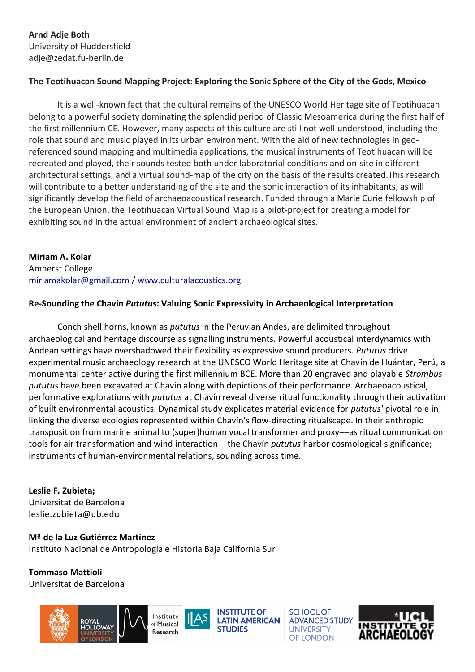**Arnd Adje Both** University of Huddersfield adje@zedat.fu-berlin.de

#### **The Teotihuacan Sound Mapping Project: Exploring the Sonic Sphere of the City of the Gods, Mexico**

It is a well-known fact that the cultural remains of the UNESCO World Heritage site of Teotihuacan belong to a powerful society dominating the splendid period of Classic Mesoamerica during the first half of the first millennium CE. However, many aspects of this culture are still not well understood, including the role that sound and music played in its urban environment. With the aid of new technologies in georeferenced sound mapping and multimedia applications, the musical instruments of Teotihuacan will be recreated and played, their sounds tested both under laboratorial conditions and on-site in different architectural settings, and a virtual sound-map of the city on the basis of the results created.This research will contribute to a better understanding of the site and the sonic interaction of its inhabitants, as will significantly develop the field of archaeoacoustical research. Funded through a Marie Curie fellowship of the European Union, the Teotihuacan Virtual Sound Map is a pilot-project for creating a model for exhibiting sound in the actual environment of ancient archaeological sites.

**Miriam A. Kolar**  Amherst College miriamakolar@gmail.com / www.culturalacoustics.org

#### **Re-Sounding the Chavín** *Pututus***: Valuing Sonic Expressivity in Archaeological Interpretation**

Conch shell horns, known as *pututus* in the Peruvian Andes, are delimited throughout archaeological and heritage discourse as signalling instruments. Powerful acoustical interdynamics with Andean settings have overshadowed their flexibility as expressive sound producers. *Pututus* drive experimental music archaeology research at the UNESCO World Heritage site at Chavín de Huántar, Perú, a monumental center active during the first millennium BCE. More than 20 engraved and playable *Strombus pututus* have been excavated at Chavín along with depictions of their performance. Archaeoacoustical, performative explorations with *pututus* at Chavín reveal diverse ritual functionality through their activation of built environmental acoustics. Dynamical study explicates material evidence for *pututus'* pivotal role in linking the diverse ecologies represented within Chavín's flow-directing ritualscape. In their anthropic transposition from marine animal to (super)human vocal transformer and proxy––as ritual communication tools for air transformation and wind interaction––the Chavín *pututus* harbor cosmological significance; instruments of human-environmental relations, sounding across time.

**Leslie F. Zubieta;**  Universitat de Barcelona leslie.zubieta@ub.edu

**Mª de la Luz Gutiérrez Martínez** Instituto Nacional de Antropología e Historia Baja California Sur

**Tommaso Mattioli** Universitat de Barcelona



**INSTITUTE OF LATIN AMERICAN**